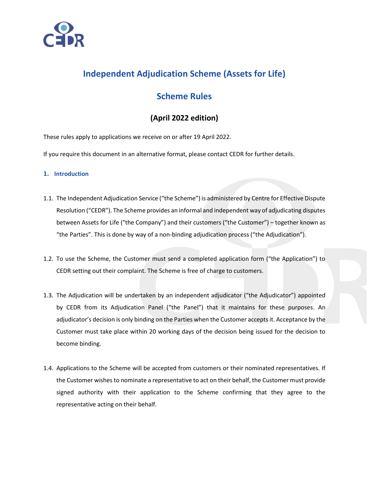

# **Independent Adjudication Scheme (Assets for Life)**

## **Scheme Rules**

## **(April 2022 edition)**

These rules apply to applications we receive on or after 19 April 2022.

If you require this document in an alternative format, please contact CEDR for further details.

## **1. Introduction**

- 1.1. The Independent Adjudication Service ("the Scheme") is administered by Centre for Effective Dispute Resolution ("CEDR"). The Scheme provides an informal and independent way of adjudicating disputes between Assets for Life ("the Company") and their customers ("the Customer") – together known as "the Parties". This is done by way of a non-binding adjudication process ("the Adjudication").
- 1.2. To use the Scheme, the Customer must send a completed application form ("the Application") to CEDR setting out their complaint. The Scheme is free of charge to customers.
- 1.3. The Adjudication will be undertaken by an independent adjudicator ("the Adjudicator") appointed by CEDR from its Adjudication Panel ("the Panel") that it maintains for these purposes. An adjudicator's decision is only binding on the Parties when the Customer accepts it. Acceptance by the Customer must take place within 20 working days of the decision being issued for the decision to become binding.
- 1.4. Applications to the Scheme will be accepted from customers or their nominated representatives. If the Customer wishes to nominate a representative to act on their behalf, the Customer must provide signed authority with their application to the Scheme confirming that they agree to the representative acting on their behalf.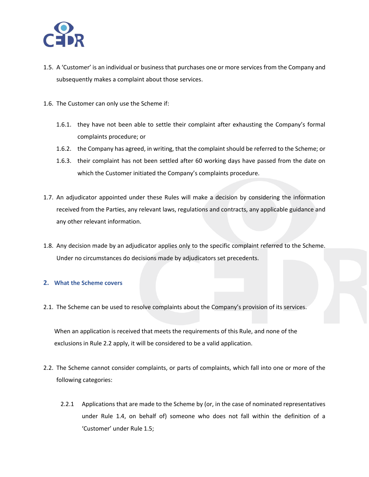

- 1.5. A 'Customer' is an individual or business that purchases one or more services from the Company and subsequently makes a complaint about those services.
- 1.6. The Customer can only use the Scheme if:
	- 1.6.1. they have not been able to settle their complaint after exhausting the Company's formal complaints procedure; or
	- 1.6.2. the Company has agreed, in writing, that the complaint should be referred to the Scheme; or
	- 1.6.3. their complaint has not been settled after 60 working days have passed from the date on which the Customer initiated the Company's complaints procedure.
- 1.7. An adjudicator appointed under these Rules will make a decision by considering the information received from the Parties, any relevant laws, regulations and contracts, any applicable guidance and any other relevant information.
- 1.8. Any decision made by an adjudicator applies only to the specific complaint referred to the Scheme. Under no circumstances do decisions made by adjudicators set precedents.

## **2. What the Scheme covers**

2.1. The Scheme can be used to resolve complaints about the Company's provision of its services.

When an application is received that meets the requirements of this Rule, and none of the exclusions in Rule 2.2 apply, it will be considered to be a valid application.

- 2.2. The Scheme cannot consider complaints, or parts of complaints, which fall into one or more of the following categories:
	- 2.2.1 Applications that are made to the Scheme by (or, in the case of nominated representatives under Rule 1.4, on behalf of) someone who does not fall within the definition of a 'Customer' under Rule 1.5;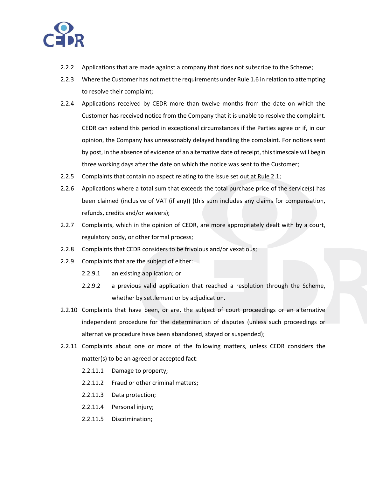

- 2.2.2 Applications that are made against a company that does not subscribe to the Scheme;
- 2.2.3 Where the Customer has not met the requirements under Rule 1.6 in relation to attempting to resolve their complaint;
- 2.2.4 Applications received by CEDR more than twelve months from the date on which the Customer has received notice from the Company that it is unable to resolve the complaint. CEDR can extend this period in exceptional circumstances if the Parties agree or if, in our opinion, the Company has unreasonably delayed handling the complaint. For notices sent by post, in the absence of evidence of an alternative date of receipt, this timescale will begin three working days after the date on which the notice was sent to the Customer;
- 2.2.5 Complaints that contain no aspect relating to the issue set out at Rule 2.1;
- 2.2.6 Applications where a total sum that exceeds the total purchase price of the service(s) has been claimed (inclusive of VAT (if any)) (this sum includes any claims for compensation, refunds, credits and/or waivers);
- 2.2.7 Complaints, which in the opinion of CEDR, are more appropriately dealt with by a court, regulatory body, or other formal process;
- 2.2.8 Complaints that CEDR considers to be frivolous and/or vexatious;
- 2.2.9 Complaints that are the subject of either:
	- 2.2.9.1 an existing application; or
	- 2.2.9.2 a previous valid application that reached a resolution through the Scheme, whether by settlement or by adjudication.
- 2.2.10 Complaints that have been, or are, the subject of court proceedings or an alternative independent procedure for the determination of disputes (unless such proceedings or alternative procedure have been abandoned, stayed or suspended);
- 2.2.11 Complaints about one or more of the following matters, unless CEDR considers the matter(s) to be an agreed or accepted fact:
	- 2.2.11.1 Damage to property;
	- 2.2.11.2 Fraud or other criminal matters;
	- 2.2.11.3 Data protection;
	- 2.2.11.4 Personal injury;
	- 2.2.11.5 Discrimination;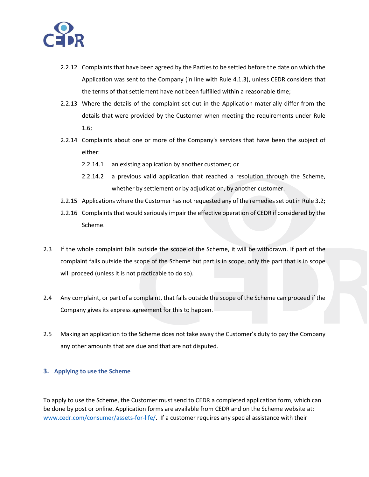

- 2.2.12 Complaints that have been agreed by the Parties to be settled before the date on which the Application was sent to the Company (in line with Rule 4.1.3), unless CEDR considers that the terms of that settlement have not been fulfilled within a reasonable time;
- 2.2.13 Where the details of the complaint set out in the Application materially differ from the details that were provided by the Customer when meeting the requirements under Rule 1.6;
- 2.2.14 Complaints about one or more of the Company's services that have been the subject of either:
	- 2.2.14.1 an existing application by another customer; or
	- 2.2.14.2 a previous valid application that reached a resolution through the Scheme, whether by settlement or by adjudication, by another customer.
- 2.2.15 Applications where the Customer has not requested any of the remedies set out in Rule 3.2;
- 2.2.16 Complaints that would seriously impair the effective operation of CEDR if considered by the Scheme.
- 2.3 If the whole complaint falls outside the scope of the Scheme, it will be withdrawn. If part of the complaint falls outside the scope of the Scheme but part is in scope, only the part that is in scope will proceed (unless it is not practicable to do so).
- 2.4 Any complaint, or part of a complaint, that falls outside the scope of the Scheme can proceed if the Company gives its express agreement for this to happen.
- 2.5 Making an application to the Scheme does not take away the Customer's duty to pay the Company any other amounts that are due and that are not disputed.

## **3. Applying to use the Scheme**

To apply to use the Scheme, the Customer must send to CEDR a completed application form, which can be done by post or online. Application forms are available from CEDR and on the Scheme website at: [www.cedr.com/consumer/assets-for-life/.](http://www.cedr.com/consumer/assets-for-life/) If a customer requires any special assistance with their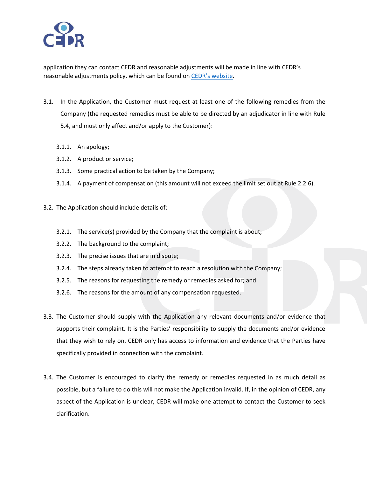

application they can contact CEDR and reasonable adjustments will be made in line with CEDR's reasonable adjustments policy, which can be found on CEDR's [website.](https://www.cedr.com/wp-content/uploads/2019/11/Reasonable-Adjustment-Policy-2019.pdf)

- 3.1. In the Application, the Customer must request at least one of the following remedies from the Company (the requested remedies must be able to be directed by an adjudicator in line with Rule 5.4, and must only affect and/or apply to the Customer):
	- 3.1.1. An apology;
	- 3.1.2. A product or service;
	- 3.1.3. Some practical action to be taken by the Company;
	- 3.1.4. A payment of compensation (this amount will not exceed the limit set out at Rule 2.2.6).
- 3.2. The Application should include details of:
	- 3.2.1. The service(s) provided by the Company that the complaint is about;
	- 3.2.2. The background to the complaint;
	- 3.2.3. The precise issues that are in dispute;
	- 3.2.4. The steps already taken to attempt to reach a resolution with the Company;
	- 3.2.5. The reasons for requesting the remedy or remedies asked for; and
	- 3.2.6. The reasons for the amount of any compensation requested.
- 3.3. The Customer should supply with the Application any relevant documents and/or evidence that supports their complaint. It is the Parties' responsibility to supply the documents and/or evidence that they wish to rely on. CEDR only has access to information and evidence that the Parties have specifically provided in connection with the complaint.
- 3.4. The Customer is encouraged to clarify the remedy or remedies requested in as much detail as possible, but a failure to do this will not make the Application invalid. If, in the opinion of CEDR, any aspect of the Application is unclear, CEDR will make one attempt to contact the Customer to seek clarification.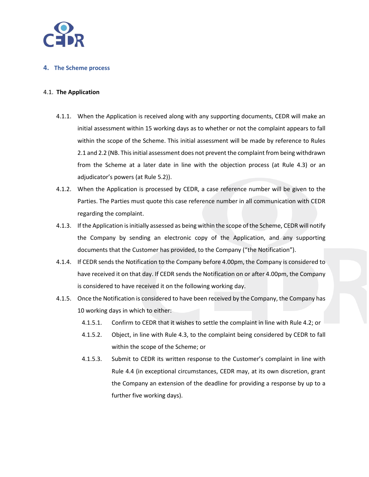

## **4. The Scheme process**

### 4.1. **The Application**

- 4.1.1. When the Application is received along with any supporting documents, CEDR will make an initial assessment within 15 working days as to whether or not the complaint appears to fall within the scope of the Scheme. This initial assessment will be made by reference to Rules 2.1 and 2.2 (NB. Thisinitial assessment does not prevent the complaint from being withdrawn from the Scheme at a later date in line with the objection process (at Rule 4.3) or an adjudicator's powers (at Rule 5.2)).
- 4.1.2. When the Application is processed by CEDR, a case reference number will be given to the Parties. The Parties must quote this case reference number in all communication with CEDR regarding the complaint.
- 4.1.3. If the Application is initially assessed as being within the scope of the Scheme, CEDR will notify the Company by sending an electronic copy of the Application, and any supporting documents that the Customer has provided, to the Company ("the Notification").
- 4.1.4. If CEDR sends the Notification to the Company before 4.00pm, the Company is considered to have received it on that day. If CEDR sends the Notification on or after 4.00pm, the Company is considered to have received it on the following working day.
- 4.1.5. Once the Notification is considered to have been received by the Company, the Company has 10 working days in which to either:
	- 4.1.5.1. Confirm to CEDR that it wishes to settle the complaint in line with Rule 4.2; or
	- 4.1.5.2. Object, in line with Rule 4.3, to the complaint being considered by CEDR to fall within the scope of the Scheme; or
	- 4.1.5.3. Submit to CEDR its written response to the Customer's complaint in line with Rule 4.4 (in exceptional circumstances, CEDR may, at its own discretion, grant the Company an extension of the deadline for providing a response by up to a further five working days).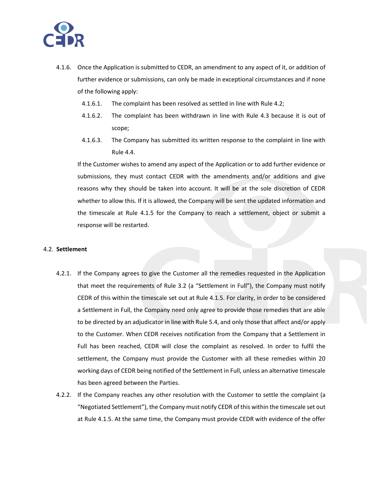

- 4.1.6. Once the Application is submitted to CEDR, an amendment to any aspect of it, or addition of further evidence or submissions, can only be made in exceptional circumstances and if none of the following apply:
	- 4.1.6.1. The complaint has been resolved as settled in line with Rule 4.2;
	- 4.1.6.2. The complaint has been withdrawn in line with Rule 4.3 because it is out of scope;
	- 4.1.6.3. The Company has submitted its written response to the complaint in line with Rule 4.4.

If the Customer wishes to amend any aspect of the Application or to add further evidence or submissions, they must contact CEDR with the amendments and/or additions and give reasons why they should be taken into account. It will be at the sole discretion of CEDR whether to allow this. If it is allowed, the Company will be sent the updated information and the timescale at Rule 4.1.5 for the Company to reach a settlement, object or submit a response will be restarted.

#### 4.2. **Settlement**

- 4.2.1. If the Company agrees to give the Customer all the remedies requested in the Application that meet the requirements of Rule 3.2 (a "Settlement in Full"), the Company must notify CEDR of this within the timescale set out at Rule 4.1.5. For clarity, in order to be considered a Settlement in Full, the Company need only agree to provide those remedies that are able to be directed by an adjudicator in line with Rule 5.4, and only those that affect and/or apply to the Customer. When CEDR receives notification from the Company that a Settlement in Full has been reached, CEDR will close the complaint as resolved. In order to fulfil the settlement, the Company must provide the Customer with all these remedies within 20 working days of CEDR being notified of the Settlement in Full, unless an alternative timescale has been agreed between the Parties.
- 4.2.2. If the Company reaches any other resolution with the Customer to settle the complaint (a "Negotiated Settlement"), the Company must notify CEDR of this within the timescale set out at Rule 4.1.5. At the same time, the Company must provide CEDR with evidence of the offer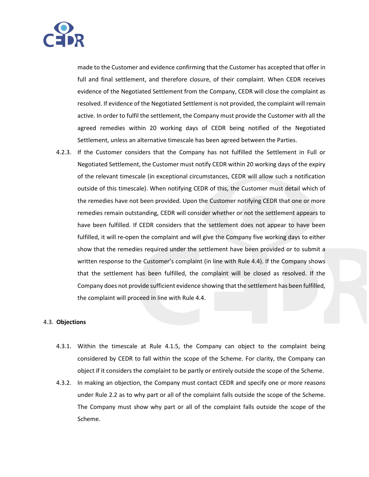

made to the Customer and evidence confirming that the Customer has accepted that offer in full and final settlement, and therefore closure, of their complaint. When CEDR receives evidence of the Negotiated Settlement from the Company, CEDR will close the complaint as resolved. If evidence of the Negotiated Settlement is not provided, the complaint will remain active. In order to fulfil the settlement, the Company must provide the Customer with all the agreed remedies within 20 working days of CEDR being notified of the Negotiated Settlement, unless an alternative timescale has been agreed between the Parties.

4.2.3. If the Customer considers that the Company has not fulfilled the Settlement in Full or Negotiated Settlement, the Customer must notify CEDR within 20 working days of the expiry of the relevant timescale (in exceptional circumstances, CEDR will allow such a notification outside of this timescale). When notifying CEDR of this, the Customer must detail which of the remedies have not been provided. Upon the Customer notifying CEDR that one or more remedies remain outstanding, CEDR will consider whether or not the settlement appears to have been fulfilled. If CEDR considers that the settlement does not appear to have been fulfilled, it will re-open the complaint and will give the Company five working days to either show that the remedies required under the settlement have been provided or to submit a written response to the Customer's complaint (in line with Rule 4.4). If the Company shows that the settlement has been fulfilled, the complaint will be closed as resolved. If the Company does not provide sufficient evidence showing that the settlement has been fulfilled, the complaint will proceed in line with Rule 4.4.

#### 4.3. **Objections**

- 4.3.1. Within the timescale at Rule 4.1.5, the Company can object to the complaint being considered by CEDR to fall within the scope of the Scheme. For clarity, the Company can object if it considers the complaint to be partly or entirely outside the scope of the Scheme.
- 4.3.2. In making an objection, the Company must contact CEDR and specify one or more reasons under Rule 2.2 as to why part or all of the complaint falls outside the scope of the Scheme. The Company must show why part or all of the complaint falls outside the scope of the Scheme.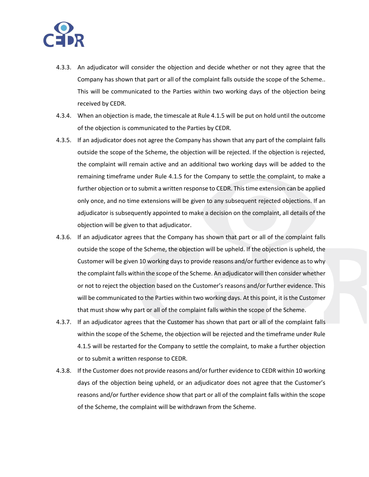

- 4.3.3. An adjudicator will consider the objection and decide whether or not they agree that the Company has shown that part or all of the complaint falls outside the scope of the Scheme.. This will be communicated to the Parties within two working days of the objection being received by CEDR.
- 4.3.4. When an objection is made, the timescale at Rule 4.1.5 will be put on hold until the outcome of the objection is communicated to the Parties by CEDR.
- 4.3.5. If an adjudicator does not agree the Company has shown that any part of the complaint falls outside the scope of the Scheme, the objection will be rejected. If the objection is rejected, the complaint will remain active and an additional two working days will be added to the remaining timeframe under Rule 4.1.5 for the Company to settle the complaint, to make a further objection or to submit a written response to CEDR. This time extension can be applied only once, and no time extensions will be given to any subsequent rejected objections. If an adjudicator is subsequently appointed to make a decision on the complaint, all details of the objection will be given to that adjudicator.
- 4.3.6. If an adjudicator agrees that the Company has shown that part or all of the complaint falls outside the scope of the Scheme, the objection will be upheld. If the objection is upheld, the Customer will be given 10 working days to provide reasons and/or further evidence as to why the complaint falls within the scope of the Scheme. An adjudicator will then consider whether or not to reject the objection based on the Customer's reasons and/or further evidence. This will be communicated to the Parties within two working days. At this point, it is the Customer that must show why part or all of the complaint falls within the scope of the Scheme.
- 4.3.7. If an adjudicator agrees that the Customer has shown that part or all of the complaint falls within the scope of the Scheme, the objection will be rejected and the timeframe under Rule 4.1.5 will be restarted for the Company to settle the complaint, to make a further objection or to submit a written response to CEDR.
- 4.3.8. If the Customer does not provide reasons and/or further evidence to CEDR within 10 working days of the objection being upheld, or an adjudicator does not agree that the Customer's reasons and/or further evidence show that part or all of the complaint falls within the scope of the Scheme, the complaint will be withdrawn from the Scheme.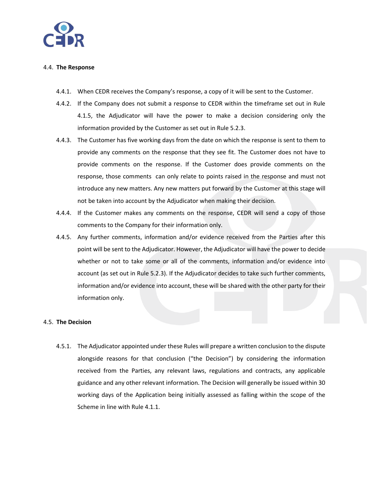

#### 4.4. **The Response**

- 4.4.1. When CEDR receives the Company's response, a copy of it will be sent to the Customer.
- 4.4.2. If the Company does not submit a response to CEDR within the timeframe set out in Rule 4.1.5, the Adjudicator will have the power to make a decision considering only the information provided by the Customer as set out in Rule 5.2.3.
- 4.4.3. The Customer has five working days from the date on which the response is sent to them to provide any comments on the response that they see fit. The Customer does not have to provide comments on the response. If the Customer does provide comments on the response, those comments can only relate to points raised in the response and must not introduce any new matters. Any new matters put forward by the Customer at this stage will not be taken into account by the Adjudicator when making their decision.
- 4.4.4. If the Customer makes any comments on the response, CEDR will send a copy of those comments to the Company for their information only.
- 4.4.5. Any further comments, information and/or evidence received from the Parties after this point will be sent to the Adjudicator. However, the Adjudicator will have the power to decide whether or not to take some or all of the comments, information and/or evidence into account (as set out in Rule 5.2.3). If the Adjudicator decides to take such further comments, information and/or evidence into account, these will be shared with the other party for their information only.

## 4.5. **The Decision**

4.5.1. The Adjudicator appointed under these Rules will prepare a written conclusion to the dispute alongside reasons for that conclusion ("the Decision") by considering the information received from the Parties, any relevant laws, regulations and contracts, any applicable guidance and any other relevant information. The Decision will generally be issued within 30 working days of the Application being initially assessed as falling within the scope of the Scheme in line with Rule 4.1.1.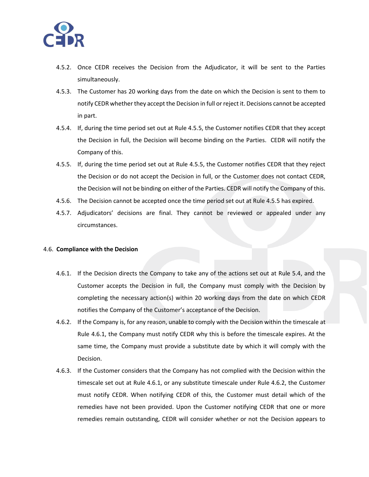

- 4.5.2. Once CEDR receives the Decision from the Adjudicator, it will be sent to the Parties simultaneously.
- 4.5.3. The Customer has 20 working days from the date on which the Decision is sent to them to notify CEDR whether they accept the Decision in full or reject it. Decisions cannot be accepted in part.
- 4.5.4. If, during the time period set out at Rule 4.5.5, the Customer notifies CEDR that they accept the Decision in full, the Decision will become binding on the Parties. CEDR will notify the Company of this.
- 4.5.5. If, during the time period set out at Rule 4.5.5, the Customer notifies CEDR that they reject the Decision or do not accept the Decision in full, or the Customer does not contact CEDR, the Decision will not be binding on either of the Parties. CEDR will notify the Company of this.
- 4.5.6. The Decision cannot be accepted once the time period set out at Rule 4.5.5 has expired.
- 4.5.7. Adjudicators' decisions are final. They cannot be reviewed or appealed under any circumstances.

#### 4.6. **Compliance with the Decision**

- 4.6.1. If the Decision directs the Company to take any of the actions set out at Rule 5.4, and the Customer accepts the Decision in full, the Company must comply with the Decision by completing the necessary action(s) within 20 working days from the date on which CEDR notifies the Company of the Customer's acceptance of the Decision.
- 4.6.2. If the Company is, for any reason, unable to comply with the Decision within the timescale at Rule 4.6.1, the Company must notify CEDR why this is before the timescale expires. At the same time, the Company must provide a substitute date by which it will comply with the Decision.
- 4.6.3. If the Customer considers that the Company has not complied with the Decision within the timescale set out at Rule 4.6.1, or any substitute timescale under Rule 4.6.2, the Customer must notify CEDR. When notifying CEDR of this, the Customer must detail which of the remedies have not been provided. Upon the Customer notifying CEDR that one or more remedies remain outstanding, CEDR will consider whether or not the Decision appears to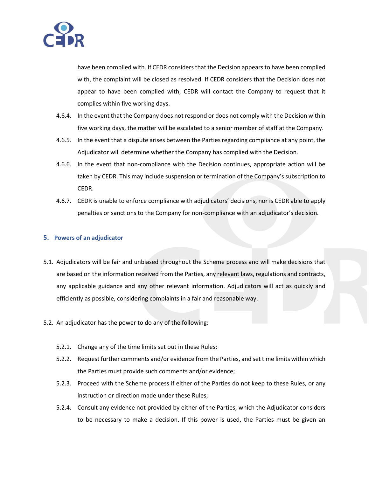

have been complied with. If CEDR considers that the Decision appears to have been complied with, the complaint will be closed as resolved. If CEDR considers that the Decision does not appear to have been complied with, CEDR will contact the Company to request that it complies within five working days.

- 4.6.4. In the event that the Company does not respond or does not comply with the Decision within five working days, the matter will be escalated to a senior member of staff at the Company.
- 4.6.5. In the event that a dispute arises between the Parties regarding compliance at any point, the Adjudicator will determine whether the Company has complied with the Decision.
- 4.6.6. In the event that non-compliance with the Decision continues, appropriate action will be taken by CEDR. This may include suspension or termination of the Company's subscription to CEDR.
- 4.6.7. CEDR is unable to enforce compliance with adjudicators' decisions, nor is CEDR able to apply penalties or sanctions to the Company for non-compliance with an adjudicator's decision.

## **5. Powers of an adjudicator**

- 5.1. Adjudicators will be fair and unbiased throughout the Scheme process and will make decisions that are based on the information received from the Parties, any relevant laws, regulations and contracts, any applicable guidance and any other relevant information. Adjudicators will act as quickly and efficiently as possible, considering complaints in a fair and reasonable way.
- 5.2. An adjudicator has the power to do any of the following:
	- 5.2.1. Change any of the time limits set out in these Rules;
	- 5.2.2. Request further comments and/or evidence from the Parties, and set time limits within which the Parties must provide such comments and/or evidence;
	- 5.2.3. Proceed with the Scheme process if either of the Parties do not keep to these Rules, or any instruction or direction made under these Rules;
	- 5.2.4. Consult any evidence not provided by either of the Parties, which the Adjudicator considers to be necessary to make a decision. If this power is used, the Parties must be given an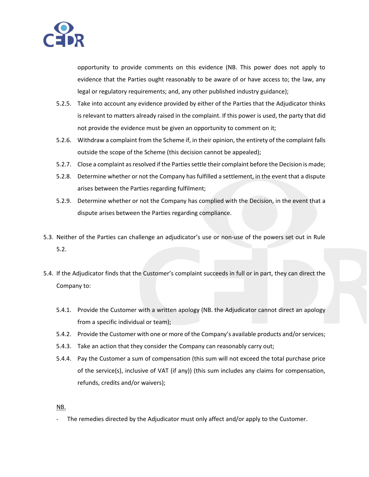

opportunity to provide comments on this evidence (NB. This power does not apply to evidence that the Parties ought reasonably to be aware of or have access to; the law, any legal or regulatory requirements; and, any other published industry guidance);

- 5.2.5. Take into account any evidence provided by either of the Parties that the Adjudicator thinks is relevant to matters already raised in the complaint. If this power is used, the party that did not provide the evidence must be given an opportunity to comment on it;
- 5.2.6. Withdraw a complaint from the Scheme if, in their opinion, the entirety of the complaint falls outside the scope of the Scheme (this decision cannot be appealed);
- 5.2.7. Close a complaint as resolved if the Parties settle their complaint before the Decision is made;
- 5.2.8. Determine whether or not the Company has fulfilled a settlement, in the event that a dispute arises between the Parties regarding fulfilment;
- 5.2.9. Determine whether or not the Company has complied with the Decision, in the event that a dispute arises between the Parties regarding compliance.
- 5.3. Neither of the Parties can challenge an adjudicator's use or non-use of the powers set out in Rule 5.2.
- 5.4. If the Adjudicator finds that the Customer's complaint succeeds in full or in part, they can direct the Company to:
	- 5.4.1. Provide the Customer with a written apology (NB. the Adjudicator cannot direct an apology from a specific individual or team);
	- 5.4.2. Provide the Customer with one or more of the Company's available products and/or services;
	- 5.4.3. Take an action that they consider the Company can reasonably carry out;
	- 5.4.4. Pay the Customer a sum of compensation (this sum will not exceed the total purchase price of the service(s), inclusive of VAT (if any)) (this sum includes any claims for compensation, refunds, credits and/or waivers);

NB.

The remedies directed by the Adjudicator must only affect and/or apply to the Customer.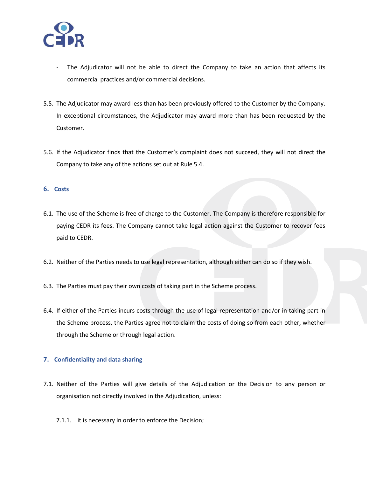

- The Adjudicator will not be able to direct the Company to take an action that affects its commercial practices and/or commercial decisions.
- 5.5. The Adjudicator may award less than has been previously offered to the Customer by the Company. In exceptional circumstances, the Adjudicator may award more than has been requested by the Customer.
- 5.6. If the Adjudicator finds that the Customer's complaint does not succeed, they will not direct the Company to take any of the actions set out at Rule 5.4.

## **6. Costs**

- 6.1. The use of the Scheme is free of charge to the Customer. The Company is therefore responsible for paying CEDR its fees. The Company cannot take legal action against the Customer to recover fees paid to CEDR.
- 6.2. Neither of the Parties needs to use legal representation, although either can do so if they wish.
- 6.3. The Parties must pay their own costs of taking part in the Scheme process.
- 6.4. If either of the Parties incurs costs through the use of legal representation and/or in taking part in the Scheme process, the Parties agree not to claim the costs of doing so from each other, whether through the Scheme or through legal action.

## **7. Confidentiality and data sharing**

- 7.1. Neither of the Parties will give details of the Adjudication or the Decision to any person or organisation not directly involved in the Adjudication, unless:
	- 7.1.1. it is necessary in order to enforce the Decision;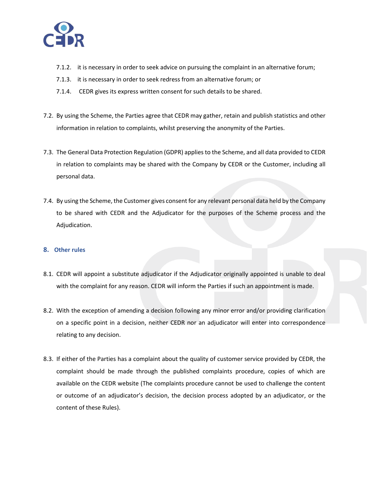

- 7.1.2. it is necessary in order to seek advice on pursuing the complaint in an alternative forum;
- 7.1.3. it is necessary in order to seek redress from an alternative forum; or
- 7.1.4. CEDR gives its express written consent for such details to be shared.
- 7.2. By using the Scheme, the Parties agree that CEDR may gather, retain and publish statistics and other information in relation to complaints, whilst preserving the anonymity of the Parties.
- 7.3. The General Data Protection Regulation (GDPR) applies to the Scheme, and all data provided to CEDR in relation to complaints may be shared with the Company by CEDR or the Customer, including all personal data.
- 7.4. By using the Scheme, the Customer gives consent for any relevant personal data held by the Company to be shared with CEDR and the Adjudicator for the purposes of the Scheme process and the Adjudication.

## **8. Other rules**

- 8.1. CEDR will appoint a substitute adjudicator if the Adjudicator originally appointed is unable to deal with the complaint for any reason. CEDR will inform the Parties if such an appointment is made.
- 8.2. With the exception of amending a decision following any minor error and/or providing clarification on a specific point in a decision, neither CEDR nor an adjudicator will enter into correspondence relating to any decision.
- 8.3. If either of the Parties has a complaint about the quality of customer service provided by CEDR, the complaint should be made through the published complaints procedure, copies of which are available on the CEDR website (The complaints procedure cannot be used to challenge the content or outcome of an adjudicator's decision, the decision process adopted by an adjudicator, or the content of these Rules).